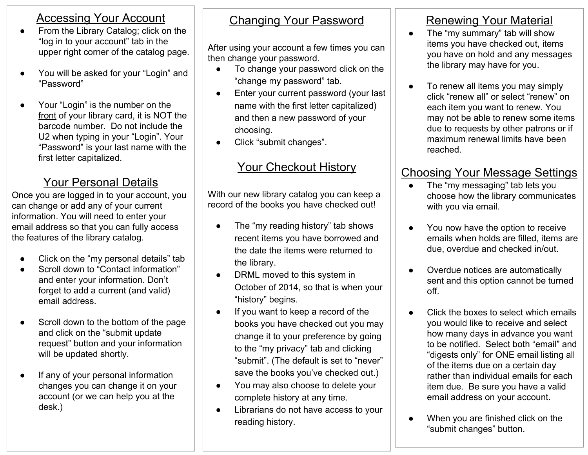#### Accessing Your Account

- From the Library Catalog; click on the "log in to your account" tab in the upper right corner of the catalog page.
- You will be asked for your "Login" and "Password"
- Your "Login" is the number on the front of your library card, it is NOT the barcode number. Do not include the U2 when typing in your "Login". Your "Password" is your last name with the first letter capitalized.

# Your Personal Details

Once you are logged in to your account, you can change or add any of your current information. You will need to enter your email address so that you can fully access the features of the library catalog.

- Click on the "my personal details" tab
- Scroll down to "Contact information" and enter your information. Don't forget to add a current (and valid) email address.
- Scroll down to the bottom of the page and click on the "submit update request" button and your information will be updated shortly.
- If any of your personal information changes you can change it on your account (or we can help you at the desk.)

#### Changing Your Password

After using your account a few times you can then change your password.

- To change your password click on the "change my password" tab.
- Enter your current password (your last name with the first letter capitalized) and then a new password of your choosing.
- Click "submit changes".

## Your Checkout History

With our new library catalog you can keep a record of the books you have checked out!

- The "my reading history" tab shows recent items you have borrowed and the date the items were returned to the library.
- DRML moved to this system in October of 2014, so that is when your "history" begins.
- If you want to keep a record of the books you have checked out you may change it to your preference by going to the "my privacy" tab and clicking "submit". (The default is set to "never" save the books you've checked out.)
- You may also choose to delete your complete history at any time.
- Librarians do not have access to your reading history.

## Renewing Your Material

- The "my summary" tab will show items you have checked out, items you have on hold and any messages the library may have for you.
- To renew all items you may simply click "renew all" or select "renew" on each item you want to renew. You may not be able to renew some items due to requests by other patrons or if maximum renewal limits have been reached.

#### Choosing Your Message Settings

- The "my messaging" tab lets you choose how the library communicates with you via email.
- You now have the option to receive emails when holds are filled, items are due, overdue and checked in/out.
- Overdue notices are automatically sent and this option cannot be turned off.
- Click the boxes to select which emails you would like to receive and select how many days in advance you want to be notified. Select both "email" and "digests only" for ONE email listing all of the items due on a certain day rather than individual emails for each item due. Be sure you have a valid email address on your account.
- When you are finished click on the "submit changes" button.